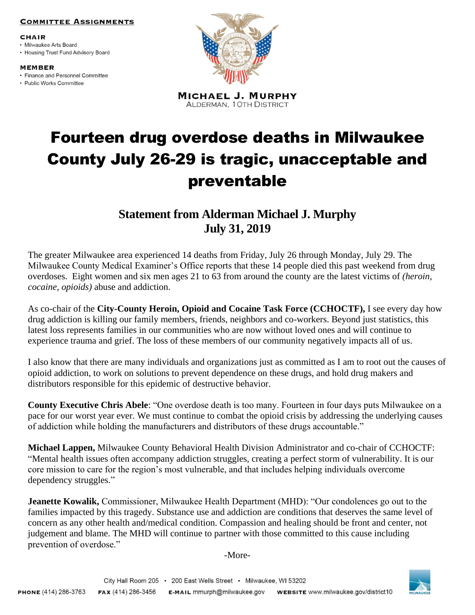## **COMMITTEE ASSIGNMENTS**

## **CHAIR**

· Milwaukee Arts Board • Housing Trust Fund Advisory Board

**MEMBER** 

• Finance and Personnel Committee

· Public Works Committee



**MICHAEL J. MURPHY** ALDERMAN, 10TH DISTRICT

## Fourteen drug overdose deaths in Milwaukee County July 26-29 is tragic, unacceptable and preventable

**Statement from Alderman Michael J. Murphy July 31, 2019**

The greater Milwaukee area experienced 14 deaths from Friday, July 26 through Monday, July 29. The Milwaukee County Medical Examiner's Office reports that these 14 people died this past weekend from drug overdoses. Eight women and six men ages 21 to 63 from around the county are the latest victims of *(heroin, cocaine, opioids)* abuse and addiction.

As co-chair of the **City-County Heroin, Opioid and Cocaine Task Force (CCHOCTF),** I see every day how drug addiction is killing our family members, friends, neighbors and co-workers. Beyond just statistics, this latest loss represents families in our communities who are now without loved ones and will continue to experience trauma and grief. The loss of these members of our community negatively impacts all of us.

I also know that there are many individuals and organizations just as committed as I am to root out the causes of opioid addiction, to work on solutions to prevent dependence on these drugs, and hold drug makers and distributors responsible for this epidemic of destructive behavior.

**County Executive Chris Abele**: "One overdose death is too many. Fourteen in four days puts Milwaukee on a pace for our worst year ever. We must continue to combat the opioid crisis by addressing the underlying causes of addiction while holding the manufacturers and distributors of these drugs accountable."

**Michael Lappen,** Milwaukee County Behavioral Health Division Administrator and co-chair of CCHOCTF: "Mental health issues often accompany addiction struggles, creating a perfect storm of vulnerability. It is our core mission to care for the region's most vulnerable, and that includes helping individuals overcome dependency struggles."

**Jeanette Kowalik,** Commissioner, Milwaukee Health Department (MHD): "Our condolences go out to the families impacted by this tragedy. Substance use and addiction are conditions that deserves the same level of concern as any other health and/medical condition. Compassion and healing should be front and center, not judgement and blame. The MHD will continue to partner with those committed to this cause including prevention of overdose."

-More-